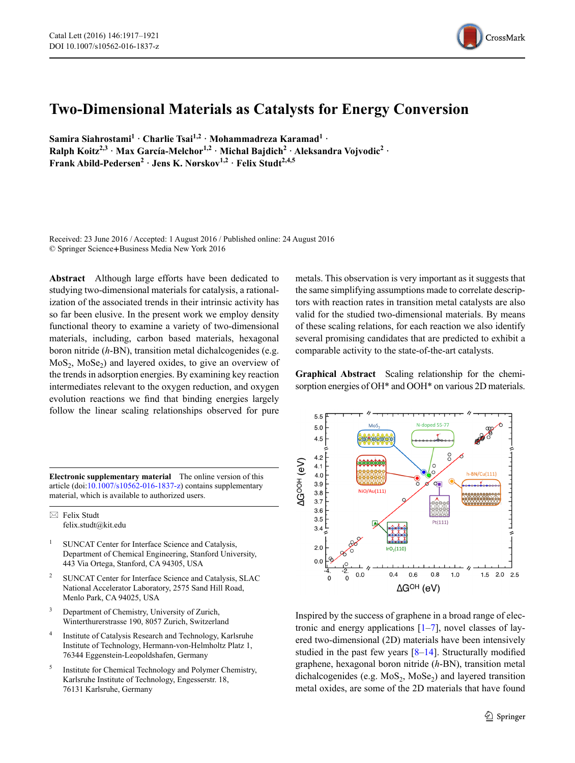

## **Two-Dimensional Materials as Catalysts for Energy Conversion**

**Samira Siahrostami1 · Charlie Tsai1,2 · Mohammadreza Karamad1 · Ralph Koitz<sup>2,3</sup> · Max García-Melchor**<sup>1,2</sup> · Michal Bajdich<sup>2</sup> · Aleksandra Vojvodic<sup>2</sup> · **Frank Abild-Pedersen<sup>2</sup> · Jens K. Nørskov1,2 · Felix Studt2,4,5**

Received: 23 June 2016 / Accepted: 1 August 2016 / Published online: 24 August 2016 © Springer Science**+**Business Media New York 2016

**Abstract** Although large efforts have been dedicated to studying two-dimensional materials for catalysis, a rationalization of the associated trends in their intrinsic activity has so far been elusive. In the present work we employ density functional theory to examine a variety of two-dimensional materials, including, carbon based materials, hexagonal boron nitride (*h*-BN), transition metal dichalcogenides (e.g.  $MoS<sub>2</sub>, MoSe<sub>2</sub>$ ) and layered oxides, to give an overview of the trends in adsorption energies. By examining key reaction intermediates relevant to the oxygen reduction, and oxygen evolution reactions we find that binding energies largely follow the linear scaling relationships observed for pure

**Electronic supplementary material** The online version of this article (doi[:10.1007/s10562-016-1837-z\)](http://dx.doi.org/10.1007/s10562-016-1837-z) contains supplementary material, which is available to authorized users.

 $\boxtimes$  Felix Studt felix.studt@kit.edu

- SUNCAT Center for Interface Science and Catalysis, Department of Chemical Engineering, Stanford University, 443 Via Ortega, Stanford, CA 94305, USA
- <sup>2</sup> SUNCAT Center for Interface Science and Catalysis, SLAC National Accelerator Laboratory, 2575 Sand Hill Road, Menlo Park, CA 94025, USA
- <sup>3</sup> Department of Chemistry, University of Zurich, Winterthurerstrasse 190, 8057 Zurich, Switzerland
- Institute of Catalysis Research and Technology, Karlsruhe Institute of Technology, Hermann-von-Helmholtz Platz 1, 76344 Eggenstein-Leopoldshafen, Germany
- <sup>5</sup> Institute for Chemical Technology and Polymer Chemistry, Karlsruhe Institute of Technology, Engesserstr. 18, 76131 Karlsruhe, Germany

metals. This observation is very important as it suggests that the same simplifying assumptions made to correlate descriptors with reaction rates in transition metal catalysts are also valid for the studied two-dimensional materials. By means of these scaling relations, for each reaction we also identify several promising candidates that are predicted to exhibit a comparable activity to the state-of-the-art catalysts.

**Graphical Abstract** Scaling relationship for the chemisorption energies of OH<sup>\*</sup> and OOH<sup>\*</sup> on various 2D materials.



Inspired by the success of graphene in a broad range of electronic and energy applications  $[1–7]$  $[1–7]$  $[1–7]$ , novel classes of layered two-dimensional (2D) materials have been intensively studied in the past few years [\[8](#page-2-2)[–14](#page-3-0)]. Structurally modified graphene, hexagonal boron nitride (*h*-BN), transition metal dichalcogenides (e.g.  $MoS<sub>2</sub>$ ,  $MoSe<sub>2</sub>$ ) and layered transition metal oxides, are some of the 2D materials that have found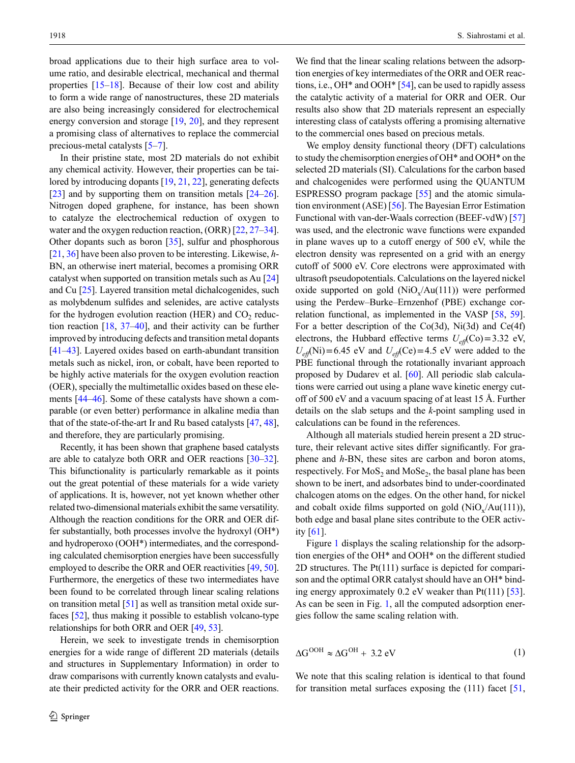broad applications due to their high surface area to volume ratio, and desirable electrical, mechanical and thermal properties  $[15-18]$  $[15-18]$ . Because of their low cost and ability to form a wide range of nanostructures, these 2D materials are also being increasingly considered for electrochemical energy conversion and storage [[19,](#page-3-3) [20](#page-3-4)], and they represent a promising class of alternatives to replace the commercial precious-metal catalysts [\[5](#page-2-4)[–7](#page-2-1)].

In their pristine state, most 2D materials do not exhibit any chemical activity. However, their properties can be tai-lored by introducing dopants [[19,](#page-3-3) [21](#page-3-5), [22](#page-3-6)], generating defects [\[23](#page-3-7)] and by supporting them on transition metals [[24–](#page-3-8)[26](#page-3-9)]. Nitrogen doped graphene, for instance, has been shown to catalyze the electrochemical reduction of oxygen to water and the oxygen reduction reaction, (ORR) [\[22](#page-3-6), [27](#page-3-10)[–34](#page-3-11)]. Other dopants such as boron [[35\]](#page-3-12), sulfur and phosphorous [\[21](#page-3-5), [36\]](#page-3-13) have been also proven to be interesting. Likewise, *h*-BN, an otherwise inert material, becomes a promising ORR catalyst when supported on transition metals such as Au [[24\]](#page-3-8) and Cu [\[25](#page-3-14)]. Layered transition metal dichalcogenides, such as molybdenum sulfides and selenides, are active catalysts for the hydrogen evolution reaction (HER) and  $CO<sub>2</sub>$  reduction reaction  $[18, 37-40]$  $[18, 37-40]$  $[18, 37-40]$  $[18, 37-40]$ , and their activity can be further improved by introducing defects and transition metal dopants [\[41](#page-3-17)[–43](#page-3-18)]. Layered oxides based on earth-abundant transition metals such as nickel, iron, or cobalt, have been reported to be highly active materials for the oxygen evolution reaction (OER), specially the multimetallic oxides based on these elements [[44–](#page-3-19)[46\]](#page-3-20). Some of these catalysts have shown a comparable (or even better) performance in alkaline media than that of the state-of-the-art Ir and Ru based catalysts [[47,](#page-3-21) [48](#page-3-22)], and therefore, they are particularly promising.

Recently, it has been shown that graphene based catalysts are able to catalyze both ORR and OER reactions [\[30–](#page-3-23)[32](#page-3-24)]. This bifunctionality is particularly remarkable as it points out the great potential of these materials for a wide variety of applications. It is, however, not yet known whether other related two-dimensional materials exhibit the same versatility. Although the reaction conditions for the ORR and OER differ substantially, both processes involve the hydroxyl (OH\*) and hydroperoxo (OOH\*) intermediates, and the corresponding calculated chemisorption energies have been successfully employed to describe the ORR and OER reactivities [\[49](#page-3-25), [50](#page-3-26)]. Furthermore, the energetics of these two intermediates have been found to be correlated through linear scaling relations on transition metal [\[51\]](#page-4-9) as well as transition metal oxide surfaces [\[52](#page-4-10)], thus making it possible to establish volcano-type relationships for both ORR and OER [\[49](#page-3-25), [53\]](#page-4-8).

Herein, we seek to investigate trends in chemisorption energies for a wide range of different 2D materials (details and structures in Supplementary Information) in order to draw comparisons with currently known catalysts and evaluate their predicted activity for the ORR and OER reactions.

We find that the linear scaling relations between the adsorption energies of key intermediates of the ORR and OER reactions, i.e., OH\* and OOH\* [[54](#page-4-0)], can be used to rapidly assess the catalytic activity of a material for ORR and OER. Our results also show that 2D materials represent an especially interesting class of catalysts offering a promising alternative to the commercial ones based on precious metals.

We employ density functional theory (DFT) calculations to study the chemisorption energies of OH\* and OOH\* on the selected 2D materials (SI). Calculations for the carbon based and chalcogenides were performed using the QUANTUM ESPRESSO program package [[55\]](#page-4-1) and the atomic simulation environment (ASE) [[56\]](#page-4-2). The Bayesian Error Estimation Functional with van-der-Waals correction (BEEF-vdW) [\[57\]](#page-4-3) was used, and the electronic wave functions were expanded in plane waves up to a cutoff energy of 500 eV, while the electron density was represented on a grid with an energy cutoff of 5000 eV. Core electrons were approximated with ultrasoft pseudopotentials. Calculations on the layered nickel oxide supported on gold  $(NiO_x/Au(111))$  were performed using the Perdew–Burke–Ernzenhof (PBE) exchange correlation functional, as implemented in the VASP [\[58](#page-4-4), [59](#page-4-5)]. For a better description of the Co(3d), Ni(3d) and Ce(4f) electrons, the Hubbard effective terms  $U_{\text{eff}}(Co) = 3.32$  eV,  $U_{\text{eff}}$ (Ni)=6.45 eV and  $U_{\text{eff}}$ (Ce)=4.5 eV were added to the PBE functional through the rotationally invariant approach proposed by Dudarev et al. [\[60](#page-4-6)]. All periodic slab calculations were carried out using a plane wave kinetic energy cutoff of 500 eV and a vacuum spacing of at least 15 Å. Further details on the slab setups and the *k*-point sampling used in calculations can be found in the references.

Although all materials studied herein present a 2D structure, their relevant active sites differ significantly. For graphene and *h*-BN, these sites are carbon and boron atoms, respectively. For  $MoS<sub>2</sub>$  and  $MoSe<sub>2</sub>$ , the basal plane has been shown to be inert, and adsorbates bind to under-coordinated chalcogen atoms on the edges. On the other hand, for nickel and cobalt oxide films supported on gold  $(NiO_x/Au(111)),$ both edge and basal plane sites contribute to the OER activity [[61\]](#page-4-7).

Figure [1](#page-2-3) displays the scaling relationship for the adsorption energies of the OH\* and OOH\* on the different studied 2D structures. The Pt(111) surface is depicted for comparison and the optimal ORR catalyst should have an OH\* binding energy approximately  $0.2$  eV weaker than Pt(111) [\[53](#page-4-8)]. As can be seen in Fig. [1,](#page-2-3) all the computed adsorption energies follow the same scaling relation with.

$$
\Delta G^{OOH} \approx \Delta G^{OH} + 3.2 \text{ eV} \tag{1}
$$

We note that this scaling relation is identical to that found for transition metal surfaces exposing the (111) facet [[51,](#page-4-9)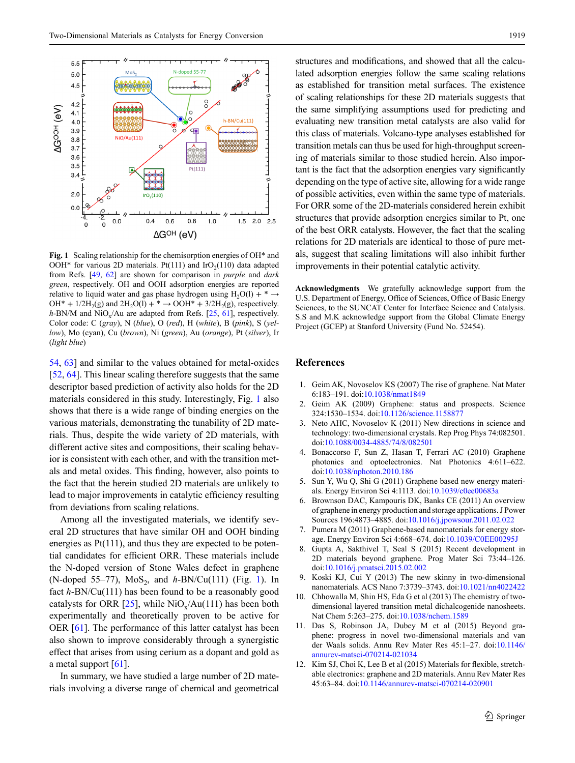<span id="page-2-3"></span>

**Fig. 1** Scaling relationship for the chemisorption energies of OH\* and OOH\* for various 2D materials. Pt(111) and IrO<sub>2</sub>(110) data adapted from Refs. [\[49,](#page-3-25) [62](#page-4-13)] are shown for comparison in *purple* and *dark green*, respectively. OH and OOH adsorption energies are reported relative to liquid water and gas phase hydrogen using H<sub>2</sub>O(l) +  $* \rightarrow$ OH\* +  $1/2H_2(g)$  and  $2H_2O(1)$  + \*  $\rightarrow$  OOH\* +  $3/2H_2(g)$ , respectively.  $h$ -BN/M and NiO<sub>x</sub>/Au are adapted from Refs. [[25](#page-3-14), [61\]](#page-4-7), respectively. Color code: C (*gray*), N (*blue*), O (*red*), H (*white*), B (*pink*), S (*yellow*), Mo (cyan), Cu (*brown*), Ni (*green*), Au (*orange*), Pt (*silver*), Ir (*light blue*)

[54](#page-4-0), [63](#page-4-11)] and similar to the values obtained for metal-oxides [\[52](#page-4-10), [64](#page-4-12)]. This linear scaling therefore suggests that the same descriptor based prediction of activity also holds for the 2D materials considered in this study. Interestingly, Fig. [1](#page-2-3) also shows that there is a wide range of binding energies on the various materials, demonstrating the tunability of 2D materials. Thus, despite the wide variety of 2D materials, with different active sites and compositions, their scaling behavior is consistent with each other, and with the transition metals and metal oxides. This finding, however, also points to the fact that the herein studied 2D materials are unlikely to lead to major improvements in catalytic efficiency resulting from deviations from scaling relations.

Among all the investigated materials, we identify several 2D structures that have similar OH and OOH binding energies as  $Pt(111)$ , and thus they are expected to be potential candidates for efficient ORR. These materials include the N-doped version of Stone Wales defect in graphene (N-doped 55–77),  $MoS_2$ , and  $h-BN/Cu(111)$  $h-BN/Cu(111)$  $h-BN/Cu(111)$  (Fig. 1). In fact *h*-BN/Cu(111) has been found to be a reasonably good catalysts for ORR [[25\]](#page-3-14), while  $NiO_x/Au(111)$  has been both experimentally and theoretically proven to be active for OER [\[61](#page-4-7)]. The performance of this latter catalyst has been also shown to improve considerably through a synergistic effect that arises from using cerium as a dopant and gold as a metal support [[61\]](#page-4-7).

In summary, we have studied a large number of 2D materials involving a diverse range of chemical and geometrical structures and modifications, and showed that all the calculated adsorption energies follow the same scaling relations as established for transition metal surfaces. The existence of scaling relationships for these 2D materials suggests that the same simplifying assumptions used for predicting and evaluating new transition metal catalysts are also valid for this class of materials. Volcano-type analyses established for transition metals can thus be used for high-throughput screening of materials similar to those studied herein. Also important is the fact that the adsorption energies vary significantly depending on the type of active site, allowing for a wide range of possible activities, even within the same type of materials. For ORR some of the 2D-materials considered herein exhibit structures that provide adsorption energies similar to Pt, one of the best ORR catalysts. However, the fact that the scaling relations for 2D materials are identical to those of pure metals, suggest that scaling limitations will also inhibit further improvements in their potential catalytic activity.

**Acknowledgments** We gratefully acknowledge support from the U.S. Department of Energy, Office of Sciences, Office of Basic Energy Sciences, to the SUNCAT Center for Interface Science and Catalysis. S.S and M.K acknowledge support from the Global Climate Energy Project (GCEP) at Stanford University (Fund No. 52454).

## **References**

- <span id="page-2-0"></span>1. Geim AK, Novoselov KS (2007) The rise of graphene. Nat Mater 6:183–191. doi:[10.1038/nmat1849](http://dx.doi.org/10.1038/nmat1849)
- 2. Geim AK (2009) Graphene: status and prospects. Science 324:1530–1534. doi:[10.1126/science.1158877](http://dx.doi.org/10.1126/science.1158877)
- 3. Neto AHC, Novoselov K (2011) New directions in science and technology: two-dimensional crystals. Rep Prog Phys 74:082501. doi[:10.1088/0034-4885/74/8/082501](http://dx.doi.org/10.1088/0034-4885/74/8/082501)
- 4. Bonaccorso F, Sun Z, Hasan T, Ferrari AC (2010) Graphene photonics and optoelectronics. Nat Photonics 4:611–622. doi[:10.1038/nphoton.2010.186](http://dx.doi.org/10.1038/nphoton.2010.186)
- <span id="page-2-4"></span>5. Sun Y, Wu Q, Shi G (2011) Graphene based new energy materials. Energy Environ Sci 4:1113. doi[:10.1039/c0ee00683a](http://dx.doi.org/10.1039/c0ee00683a)
- 6. Brownson DAC, Kampouris DK, Banks CE (2011) An overview of graphene in energy production and storage applications. J Power Sources 196:4873–4885. doi[:10.1016/j.jpowsour.2011.02.022](http://dx.doi.org/10.1016/j.jpowsour.2011.02.022)
- <span id="page-2-1"></span>7. Pumera M (2011) Graphene-based nanomaterials for energy storage. Energy Environ Sci 4:668–674. doi[:10.1039/C0EE00295J](http://dx.doi.org/10.1039/C0EE00295J)
- <span id="page-2-2"></span>8. Gupta A, Sakthivel T, Seal S (2015) Recent development in 2D materials beyond graphene. Prog Mater Sci 73:44–126. doi[:10.1016/j.pmatsci.2015.02.002](http://dx.doi.org/10.1016/j.pmatsci.2015.02.002)
- 9. Koski KJ, Cui Y (2013) The new skinny in two-dimensional nanomaterials. ACS Nano 7:3739–3743. doi[:10.1021/nn4022422](http://dx.doi.org/10.1021/nn4022422)
- 10. Chhowalla M, Shin HS, Eda G et al (2013) The chemistry of twodimensional layered transition metal dichalcogenide nanosheets. Nat Chem 5:263–275. doi:[10.1038/nchem.1589](http://dx.doi.org/10.1038/nchem.1589)
- 11. Das S, Robinson JA, Dubey M et al (2015) Beyond graphene: progress in novel two-dimensional materials and van der Waals solids. Annu Rev Mater Res 45:1–27. doi:[10.1146/](http://dx.doi.org/10.1146/annurev-matsci-070214-021034) [annurev-matsci-070214-021034](http://dx.doi.org/10.1146/annurev-matsci-070214-021034)
- 12. Kim SJ, Choi K, Lee B et al (2015) Materials for flexible, stretchable electronics: graphene and 2D materials. Annu Rev Mater Res 45:63–84. doi:[10.1146/annurev-matsci-070214-020901](http://dx.doi.org/10.1146/annurev-matsci-070214-020901)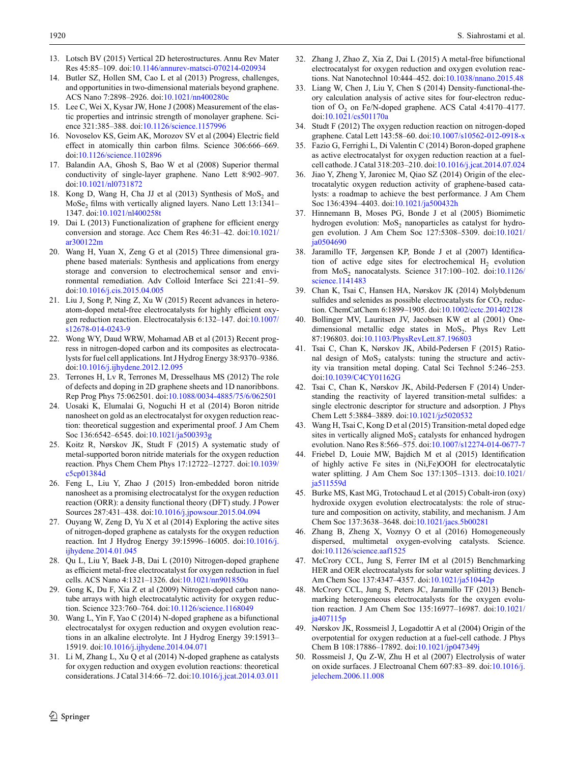- 13. Lotsch BV (2015) Vertical 2D heterostructures. Annu Rev Mater Res 45:85–109. doi:[10.1146/annurev-matsci-070214-020934](http://dx.doi.org/10.1146/annurev-matsci-070214-020934)
- <span id="page-3-0"></span>14. Butler SZ, Hollen SM, Cao L et al (2013) Progress, challenges, and opportunities in two-dimensional materials beyond graphene. ACS Nano 7:2898–2926. doi:[10.1021/nn400280c](http://dx.doi.org/10.1021/nn400280c)
- <span id="page-3-1"></span>15. Lee C, Wei X, Kysar JW, Hone J (2008) Measurement of the elastic properties and intrinsic strength of monolayer graphene. Science 321:385–388. doi[:10.1126/science.1157996](http://dx.doi.org/10.1126/science.1157996)
- 16. Novoselov KS, Geim AK, Morozov SV et al (2004) Electric field effect in atomically thin carbon films. Science 306:666–669. doi[:10.1126/science.1102896](http://dx.doi.org/10.1126/science.1102896)
- 17. Balandin AA, Ghosh S, Bao W et al (2008) Superior thermal conductivity of single-layer graphene. Nano Lett 8:902–907. doi[:10.1021/nl0731872](http://dx.doi.org/10.1021/nl0731872)
- <span id="page-3-2"></span>18. Kong D, Wang H, Cha JJ et al  $(2013)$  Synthesis of MoS<sub>2</sub> and MoSe<sub>2</sub> films with vertically aligned layers. Nano Lett 13:1341– 1347. doi:[10.1021/nl400258t](http://dx.doi.org/10.1021/nl400258t)
- <span id="page-3-3"></span>19. Dai L (2013) Functionalization of graphene for efficient energy conversion and storage. Acc Chem Res 46:31–42. doi[:10.1021/](http://dx.doi.org/10.1021/ar300122m) [ar300122m](http://dx.doi.org/10.1021/ar300122m)
- <span id="page-3-4"></span>20. Wang H, Yuan X, Zeng G et al (2015) Three dimensional graphene based materials: Synthesis and applications from energy storage and conversion to electrochemical sensor and environmental remediation. Adv Colloid Interface Sci 221:41–59. doi[:10.1016/j.cis.2015.04.005](http://dx.doi.org/10.1016/j.cis.2015.04.005)
- <span id="page-3-5"></span>21. Liu J, Song P, Ning Z, Xu W (2015) Recent advances in heteroatom-doped metal-free electrocatalysts for highly efficient oxygen reduction reaction. Electrocatalysis 6:132–147. doi[:10.1007/](http://dx.doi.org/10.1007/s12678-014-0243-9) [s12678-014-0243-9](http://dx.doi.org/10.1007/s12678-014-0243-9)
- <span id="page-3-6"></span>22. Wong WY, Daud WRW, Mohamad AB et al (2013) Recent progress in nitrogen-doped carbon and its composites as electrocatalysts for fuel cell applications. Int J Hydrog Energy 38:9370–9386. doi[:10.1016/j.ijhydene.2012.12.095](http://dx.doi.org/10.1016/j.ijhydene.2012.12.095)
- <span id="page-3-7"></span>23. Terrones H, Lv R, Terrones M, Dresselhaus MS (2012) The role of defects and doping in 2D graphene sheets and 1D nanoribbons. Rep Prog Phys 75:062501. doi:[10.1088/0034-4885/75/6/062501](http://dx.doi.org/10.1088/0034-4885/75/6/062501)
- <span id="page-3-8"></span>24. Uosaki K, Elumalai G, Noguchi H et al (2014) Boron nitride nanosheet on gold as an electrocatalyst for oxygen reduction reaction: theoretical suggestion and experimental proof. J Am Chem Soc 136:6542–6545. doi:[10.1021/ja500393g](http://dx.doi.org/10.1021/ja500393g)
- <span id="page-3-14"></span>25. Koitz R, Nørskov JK, Studt F (2015) A systematic study of metal-supported boron nitride materials for the oxygen reduction reaction. Phys Chem Chem Phys 17:12722–12727. doi[:10.1039/](http://dx.doi.org/10.1039/c5cp01384d) [c5cp01384d](http://dx.doi.org/10.1039/c5cp01384d)
- <span id="page-3-9"></span>26. Feng L, Liu Y, Zhao J (2015) Iron-embedded boron nitride nanosheet as a promising electrocatalyst for the oxygen reduction reaction (ORR): a density functional theory (DFT) study. J Power Sources 287:431–438. doi[:10.1016/j.jpowsour.2015.04.094](http://dx.doi.org/10.1016/j.jpowsour.2015.04.094)
- <span id="page-3-10"></span>27. Ouyang W, Zeng D, Yu X et al (2014) Exploring the active sites of nitrogen-doped graphene as catalysts for the oxygen reduction reaction. Int J Hydrog Energy 39:15996–16005. doi:[10.1016/j.](http://dx.doi.org/10.1016/j.ijhydene.2014.01.045) [ijhydene.2014.01.045](http://dx.doi.org/10.1016/j.ijhydene.2014.01.045)
- 28. Qu L, Liu Y, Baek J-B, Dai L (2010) Nitrogen-doped graphene as efficient metal-free electrocatalyst for oxygen reduction in fuel cells. ACS Nano 4:1321–1326. doi:[10.1021/nn901850u](http://dx.doi.org/10.1021/nn901850u)
- 29. Gong K, Du F, Xia Z et al (2009) Nitrogen-doped carbon nanotube arrays with high electrocatalytic activity for oxygen reduction. Science 323:760–764. doi[:10.1126/science.1168049](http://dx.doi.org/10.1126/science.1168049)
- <span id="page-3-23"></span>30. Wang L, Yin F, Yao C (2014) N-doped graphene as a bifunctional electrocatalyst for oxygen reduction and oxygen evolution reactions in an alkaline electrolyte. Int J Hydrog Energy 39:15913– 15919. doi:[10.1016/j.ijhydene.2014.04.071](http://dx.doi.org/10.1016/j.ijhydene.2014.04.071)
- 31. Li M, Zhang L, Xu Q et al (2014) N-doped graphene as catalysts for oxygen reduction and oxygen evolution reactions: theoretical considerations. J Catal 314:66–72. doi[:10.1016/j.jcat.2014.03.011](http://dx.doi.org/10.1016/j.jcat.2014.03.011)
- <span id="page-3-24"></span>32. Zhang J, Zhao Z, Xia Z, Dai L (2015) A metal-free bifunctional electrocatalyst for oxygen reduction and oxygen evolution reactions. Nat Nanotechnol 10:444–452. doi:[10.1038/nnano.2015.48](http://dx.doi.org/10.1038/nnano.2015.48)
- 33. Liang W, Chen J, Liu Y, Chen S (2014) Density-functional-theory calculation analysis of active sites for four-electron reduction of  $O_2$  on Fe/N-doped graphene. ACS Catal 4:4170-4177. doi[:10.1021/cs501170a](http://dx.doi.org/10.1021/cs501170a)
- <span id="page-3-11"></span>34. Studt F (2012) The oxygen reduction reaction on nitrogen-doped graphene. Catal Lett 143:58–60. doi[:10.1007/s10562-012-0918-x](http://dx.doi.org/10.1007/s10562-012-0918-x)
- <span id="page-3-12"></span>35. Fazio G, Ferrighi L, Di Valentin C (2014) Boron-doped graphene as active electrocatalyst for oxygen reduction reaction at a fuelcell cathode. J Catal 318:203–210. doi:[10.1016/j.jcat.2014.07.024](http://dx.doi.org/10.1016/j.jcat.2014.07.024)
- <span id="page-3-13"></span>36. Jiao Y, Zheng Y, Jaroniec M, Qiao SZ (2014) Origin of the electrocatalytic oxygen reduction activity of graphene-based catalysts: a roadmap to achieve the best performance. J Am Chem Soc 136:4394–4403. doi:[10.1021/ja500432h](http://dx.doi.org/10.1021/ja500432h)
- <span id="page-3-15"></span>37. Hinnemann B, Moses PG, Bonde J et al (2005) Biomimetic hydrogen evolution:  $MoS<sub>2</sub>$  nanoparticles as catalyst for hydrogen evolution. J Am Chem Soc 127:5308–5309. doi[:10.1021/](http://dx.doi.org/10.1021/ja0504690) [ja0504690](http://dx.doi.org/10.1021/ja0504690)
- 38. Jaramillo TF, Jørgensen KP, Bonde J et al (2007) Identification of active edge sites for electrochemical  $H_2$  evolution from  $MoS<sub>2</sub>$  nanocatalysts. Science 317:100–102. doi:[10.1126/](http://dx.doi.org/10.1126/science.1141483) [science.1141483](http://dx.doi.org/10.1126/science.1141483)
- 39. Chan K, Tsai C, Hansen HA, Nørskov JK (2014) Molybdenum sulfides and selenides as possible electrocatalysts for  $CO<sub>2</sub>$  reduction. ChemCatChem 6:1899–1905. doi[:10.1002/cctc.201402128](http://dx.doi.org/10.1002/cctc.201402128)
- <span id="page-3-16"></span>40. Bollinger MV, Lauritsen JV, Jacobsen KW et al (2001) Onedimensional metallic edge states in  $MoS<sub>2</sub>$ . Phys Rev Lett 87:196803. doi:[10.1103/PhysRevLett.87.196803](http://dx.doi.org/10.1103/PhysRevLett.87.196803)
- <span id="page-3-17"></span>41. Tsai C, Chan K, Nørskov JK, Abild-Pedersen F (2015) Rational design of MoS<sub>2</sub> catalysts: tuning the structure and activity via transition metal doping. Catal Sci Technol 5:246–253. doi[:10.1039/C4CY01162G](http://dx.doi.org/10.1039/C4CY01162G)
- 42. Tsai C, Chan K, Nørskov JK, Abild-Pedersen F (2014) Understanding the reactivity of layered transition-metal sulfides: a single electronic descriptor for structure and adsorption. J Phys Chem Lett 5:3884–3889. doi:[10.1021/jz5020532](http://dx.doi.org/10.1021/jz5020532)
- <span id="page-3-18"></span>43. Wang H, Tsai C, Kong D et al (2015) Transition-metal doped edge sites in vertically aligned MoS<sub>2</sub> catalysts for enhanced hydrogen evolution. Nano Res 8:566–575. doi[:10.1007/s12274-014-0677-7](http://dx.doi.org/10.1007/s12274-014-0677-7)
- <span id="page-3-19"></span>44. Friebel D, Louie MW, Bajdich M et al (2015) Identification of highly active Fe sites in (Ni,Fe)OOH for electrocatalytic water splitting. J Am Chem Soc 137:1305–1313. doi[:10.1021/](http://dx.doi.org/10.1021/ja511559d) [ja511559d](http://dx.doi.org/10.1021/ja511559d)
- 45. Burke MS, Kast MG, Trotochaud L et al (2015) Cobalt-iron (oxy) hydroxide oxygen evolution electrocatalysts: the role of structure and composition on activity, stability, and mechanism. J Am Chem Soc 137:3638–3648. doi[:10.1021/jacs.5b00281](http://dx.doi.org/10.1021/jacs.5b00281)
- <span id="page-3-20"></span>46. Zhang B, Zheng X, Voznyy O et al (2016) Homogeneously dispersed, multimetal oxygen-evolving catalysts. Science. doi[:10.1126/science.aaf1525](http://dx.doi.org/10.1126/science.aaf1525)
- <span id="page-3-21"></span>47. McCrory CCL, Jung S, Ferrer IM et al (2015) Benchmarking HER and OER electrocatalysts for solar water splitting devices. J Am Chem Soc 137:4347–4357. doi[:10.1021/ja510442p](http://dx.doi.org/10.1021/ja510442p)
- <span id="page-3-22"></span>48. McCrory CCL, Jung S, Peters JC, Jaramillo TF (2013) Benchmarking heterogeneous electrocatalysts for the oxygen evolution reaction. J Am Chem Soc 135:16977–16987. doi[:10.1021/](http://dx.doi.org/10.1021/ja407115p) ia407115<sub>p</sub>
- <span id="page-3-25"></span>49. Nørskov JK, Rossmeisl J, Logadottir A et al (2004) Origin of the overpotential for oxygen reduction at a fuel-cell cathode. J Phys Chem B 108:17886–17892. doi:[10.1021/jp047349j](http://dx.doi.org/10.1021/jp047349j)
- <span id="page-3-26"></span>50. Rossmeisl J, Qu Z-W, Zhu H et al (2007) Electrolysis of water on oxide surfaces. J Electroanal Chem 607:83–89. doi:[10.1016/j.](http://dx.doi.org/10.1016/j.jelechem.2006.11.008) [jelechem.2006.11.008](http://dx.doi.org/10.1016/j.jelechem.2006.11.008)